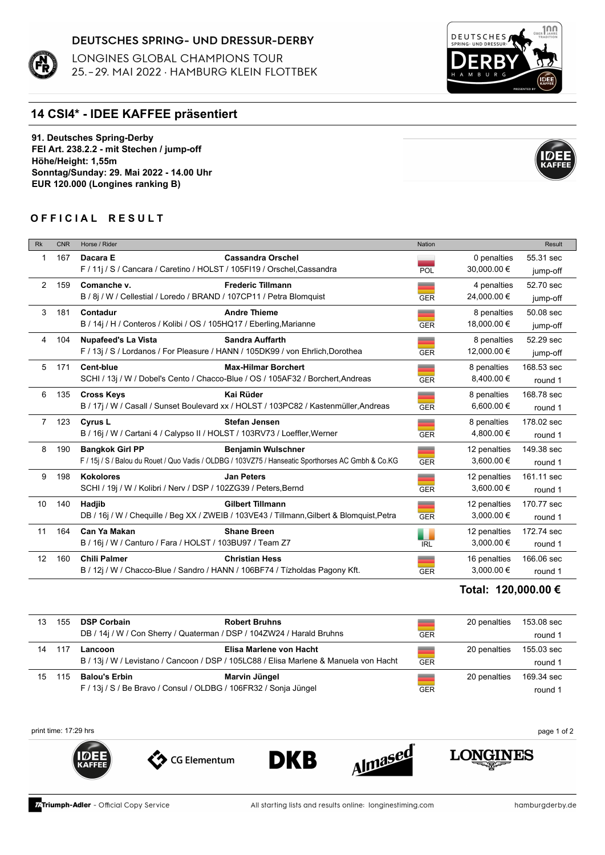### DEUTSCHES SPRING- UND DRESSUR-DERBY

LONGINES GLOBAL CHAMPIONS TOUR 25.-29. MAI 2022 · HAMBURG KLEIN FLOTTBEK



# **14 CSI4\* - IDEE KAFFEE präsentiert**

**91. Deutsches Spring-Derby FEI Art. 238.2.2 - mit Stechen / jump-off Höhe/Height: 1,55m Sonntag/Sunday: 29. Mai 2022 - 14.00 Uhr EUR 120.000 (Longines ranking B)**

## **OFFICIAL RESULT**

| <b>Rk</b>            | <b>CNR</b> | Horse / Rider                                                                  |                                                                                                    | <b>Nation</b> |              | Result     |
|----------------------|------------|--------------------------------------------------------------------------------|----------------------------------------------------------------------------------------------------|---------------|--------------|------------|
| 1                    | 167        | Dacara E                                                                       | <b>Cassandra Orschel</b>                                                                           |               | 0 penalties  | 55.31 sec  |
|                      |            | F / 11j / S / Cancara / Caretino / HOLST / 105FI19 / Orschel, Cassandra        |                                                                                                    | POL           | 30,000.00 €  | jump-off   |
| $\mathbf{2}^{\circ}$ | 159        | Comanche v.                                                                    | <b>Frederic Tillmann</b>                                                                           | ╾             | 4 penalties  | 52.70 sec  |
|                      |            | B / 8j / W / Cellestial / Loredo / BRAND / 107CP11 / Petra Blomquist           |                                                                                                    | <b>GER</b>    | 24,000.00 €  | jump-off   |
| 3                    | 181        | Contadur                                                                       | <b>Andre Thieme</b>                                                                                | __            | 8 penalties  | 50.08 sec  |
|                      |            | B / 14j / H / Conteros / Kolibi / OS / 105HQ17 / Eberling, Marianne            |                                                                                                    | <b>GER</b>    | 18,000.00 €  | jump-off   |
| 4                    | 104        | <b>Nupafeed's La Vista</b>                                                     | <b>Sandra Auffarth</b>                                                                             | =             | 8 penalties  | 52.29 sec  |
|                      |            | F / 13j / S / Lordanos / For Pleasure / HANN / 105DK99 / von Ehrlich, Dorothea |                                                                                                    | <b>GER</b>    | 12,000.00 €  | jump-off   |
| 5                    | 171        | <b>Cent-blue</b>                                                               | <b>Max-Hilmar Borchert</b>                                                                         | =             | 8 penalties  | 168.53 sec |
|                      |            |                                                                                | SCHI / 13j / W / Dobel's Cento / Chacco-Blue / OS / 105AF32 / Borchert, Andreas                    | <b>GER</b>    | 8,400.00 €   | round 1    |
| 6                    | 135        | <b>Cross Keys</b>                                                              | Kai Rüder                                                                                          | _             | 8 penalties  | 168.78 sec |
|                      |            |                                                                                | B / 17j / W / Casall / Sunset Boulevard xx / HOLST / 103PC82 / Kastenmüller, Andreas               | <b>GER</b>    | 6,600.00 €   | round 1    |
|                      | 7 123      | <b>Cyrus L</b>                                                                 | <b>Stefan Jensen</b>                                                                               | __            | 8 penalties  | 178.02 sec |
|                      |            | B / 16j / W / Cartani 4 / Calypso II / HOLST / 103RV73 / Loeffler, Werner      |                                                                                                    | <b>GER</b>    | 4,800.00 €   | round 1    |
| 8                    | 190        | <b>Bangkok Girl PP</b>                                                         | <b>Benjamin Wulschner</b>                                                                          | _             | 12 penalties | 149.38 sec |
|                      |            |                                                                                | F / 15j / S / Balou du Rouet / Quo Vadis / OLDBG / 103VZ75 / Hanseatic Sporthorses AC Gmbh & Co.KG | <b>GER</b>    | 3,600.00 €   | round 1    |
| 9                    | 198        | <b>Kokolores</b>                                                               | <b>Jan Peters</b>                                                                                  | __            | 12 penalties | 161.11 sec |
|                      |            | SCHI / 19j / W / Kolibri / Nerv / DSP / 102ZG39 / Peters, Bernd                |                                                                                                    | <b>GER</b>    | 3,600.00 €   | round 1    |
| 10                   | 140        | Hadjib                                                                         | <b>Gilbert Tillmann</b>                                                                            | _             | 12 penalties | 170.77 sec |
|                      |            |                                                                                | DB / 16j / W / Chequille / Beg XX / ZWEIB / 103VE43 / Tillmann, Gilbert & Blomquist, Petra         | <b>GER</b>    | 3,000.00 €   | round 1    |
| 11                   | 164        | Can Ya Makan                                                                   | <b>Shane Breen</b>                                                                                 | ٠             | 12 penalties | 172.74 sec |
|                      |            | B / 16j / W / Canturo / Fara / HOLST / 103BU97 / Team Z7                       |                                                                                                    | <b>IRL</b>    | 3,000.00 €   | round 1    |
| 12                   | 160        | <b>Chili Palmer</b>                                                            | <b>Christian Hess</b>                                                                              | __            | 16 penalties | 166.06 sec |
|                      |            | B / 12j / W / Chacco-Blue / Sandro / HANN / 106BF74 / Tízholdas Pagony Kft.    |                                                                                                    | <b>GER</b>    | 3,000.00 €   | round 1    |

### **Total: 120,000.00 €**

**LONGINES** 

| 13. | 155 | <b>DSP Corbain</b>                                                    | <b>Robert Bruhns</b>                                                                  |            | 20 penalties | 153.08 sec |
|-----|-----|-----------------------------------------------------------------------|---------------------------------------------------------------------------------------|------------|--------------|------------|
|     |     | DB / 14j / W / Con Sherry / Quaterman / DSP / 104ZW24 / Harald Bruhns |                                                                                       | <b>GER</b> |              | round 1    |
| 14  | 117 | Lancoon                                                               | Elisa Marlene von Hacht                                                               |            | 20 penalties | 155.03 sec |
|     |     |                                                                       | B / 13j / W / Levistano / Cancoon / DSP / 105LC88 / Elisa Marlene & Manuela von Hacht | <b>GER</b> |              | round 1    |
| 15  | 115 | <b>Balou's Erbin</b>                                                  | Marvin Jüngel                                                                         |            | 20 penalties | 169.34 sec |
|     |     | F / 13j / S / Be Bravo / Consul / OLDBG / 106FR32 / Sonja Jüngel      |                                                                                       | <b>GER</b> |              | round 1    |
|     |     |                                                                       |                                                                                       |            |              |            |

**DKB** 

print time: 17:29 hrs page 1 of 2



CO Elementum

Almased